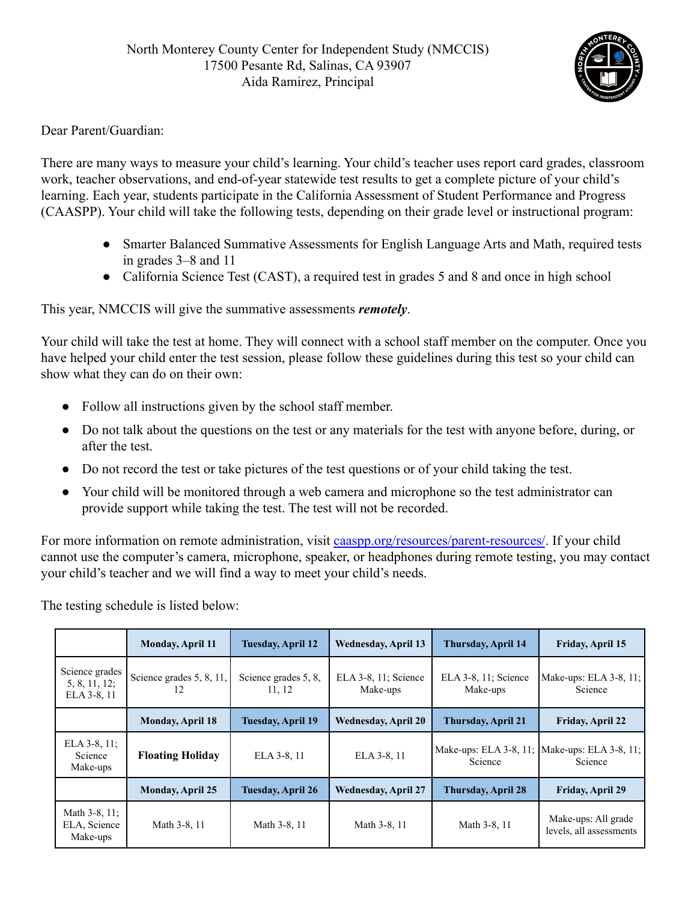

## Dear Parent/Guardian:

There are many ways to measure your child's learning. Your child's teacher uses report card grades, classroom work, teacher observations, and end-of-year statewide test results to get a complete picture of your child's learning. Each year, students participate in the California Assessment of Student Performance and Progress (CAASPP). Your child will take the following tests, depending on their grade level or instructional program:

- Smarter Balanced Summative Assessments for English Language Arts and Math, required tests in grades 3–8 and 11
- California Science Test (CAST), a required test in grades 5 and 8 and once in high school

This year, NMCCIS will give the summative assessments *remotely*.

Your child will take the test at home. They will connect with a school staff member on the computer. Once you have helped your child enter the test session, please follow these guidelines during this test so your child can show what they can do on their own:

- Follow all instructions given by the school staff member.
- Do not talk about the questions on the test or any materials for the test with anyone before, during, or after the test.
- Do not record the test or take pictures of the test questions or of your child taking the test.
- Your child will be monitored through a web camera and microphone so the test administrator can provide support while taking the test. The test will not be recorded.

For more information on remote administration, visit [caaspp.org/resources/parent-resources/](https://www.elpac.org/resources/parent-resources/). If your child cannot use the computer's camera, microphone, speaker, or headphones during remote testing, you may contact your child's teacher and we will find a way to meet your child's needs.

The testing schedule is listed below:

|                                                 | <b>Monday, April 11</b>        | <b>Tuesday, April 12</b>       | <b>Wednesday, April 13</b>       | <b>Thursday, April 14</b>         | Friday, April 15                               |
|-------------------------------------------------|--------------------------------|--------------------------------|----------------------------------|-----------------------------------|------------------------------------------------|
| Science grades<br>5, 8, 11, 12;<br>ELA 3-8, 11  | Science grades 5, 8, 11,<br>12 | Science grades 5, 8,<br>11, 12 | ELA 3-8, 11; Science<br>Make-ups | ELA 3-8, 11; Science<br>Make-ups  | Make-ups: ELA 3-8, 11;<br>Science              |
|                                                 | <b>Monday, April 18</b>        | Tuesday, April 19              | <b>Wednesday, April 20</b>       | <b>Thursday, April 21</b>         | <b>Friday, April 22</b>                        |
| ELA $3-8$ , $11$ ;<br>Science<br>Make-ups       | <b>Floating Holiday</b>        | ELA 3-8, 11                    | ELA 3-8, 11                      | Make-ups: ELA 3-8, 11;<br>Science | Make-ups: ELA 3-8, 11;<br>Science              |
|                                                 | <b>Monday, April 25</b>        | Tuesday, April 26              | <b>Wednesday, April 27</b>       | <b>Thursday, April 28</b>         | <b>Friday, April 29</b>                        |
| Math $3-8$ , $11$ ;<br>ELA, Science<br>Make-ups | Math 3-8, 11                   | Math 3-8, 11                   | Math 3-8, 11                     | Math 3-8, 11                      | Make-ups: All grade<br>levels, all assessments |